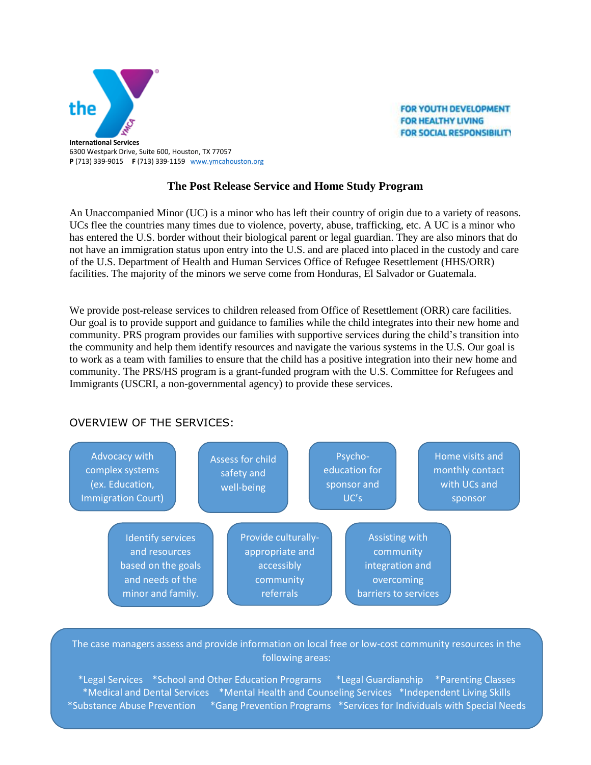

**FOR YOUTH DEVELOPMENT FOR HEALTHY LIVING FOR SOCIAL RESPONSIBILITY** 

## **The Post Release Service and Home Study Program**

An Unaccompanied Minor (UC) is a minor who has left their country of origin due to a variety of reasons. UCs flee the countries many times due to violence, poverty, abuse, trafficking, etc. A UC is a minor who has entered the U.S. border without their biological parent or legal guardian. They are also minors that do not have an immigration status upon entry into the U.S. and are placed into placed in the custody and care of the U.S. Department of Health and Human Services Office of Refugee Resettlement (HHS/ORR) facilities. The majority of the minors we serve come from Honduras, El Salvador or Guatemala.

We provide post-release services to children released from Office of Resettlement (ORR) care facilities. Our goal is to provide support and guidance to families while the child integrates into their new home and community. PRS program provides our families with supportive services during the child's transition into the community and help them identify resources and navigate the various systems in the U.S. Our goal is to work as a team with families to ensure that the child has a positive integration into their new home and community. The PRS/HS program is a grant-funded program with the U.S. Committee for Refugees and Immigrants (USCRI, a non-governmental agency) to provide these services.

## OVERVIEW OF THE SERVICES:



The case managers assess and provide information on local free or low-cost community resources in the following areas:

6300 Westpark, Suite 600 \*Legal Services \*School and Other Education Programs \*Legal Guardianship \*Parenting Classes P: 713-339-9015 **\*Medical and Dental Services \*Mental Health and Counseling Services \*Independent Living Skills \***<br>Calculation and the state of the state of the state of the state of the state of the state of the state of the \*Substance Abuse Prevention \*Gang Prevention Programs \*Services for Individuals with Special Needs